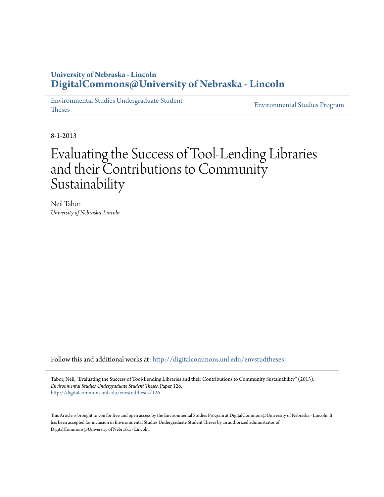# **University of Nebraska - Lincoln [DigitalCommons@University of Nebraska - Lincoln](http://digitalcommons.unl.edu?utm_source=digitalcommons.unl.edu%2Fenvstudtheses%2F126&utm_medium=PDF&utm_campaign=PDFCoverPages)**

[Environmental Studies Undergraduate Student](http://digitalcommons.unl.edu/envstudtheses?utm_source=digitalcommons.unl.edu%2Fenvstudtheses%2F126&utm_medium=PDF&utm_campaign=PDFCoverPages) Theses

[Environmental Studies Program](http://digitalcommons.unl.edu/environmentalstudies?utm_source=digitalcommons.unl.edu%2Fenvstudtheses%2F126&utm_medium=PDF&utm_campaign=PDFCoverPages)

8-1-2013

# Evaluating the Success of Tool-Lending Libraries and their Contributions to Community Sustainability

Neil Tabor *University of Nebraska-Lincoln*

Follow this and additional works at: [htp://digitalcommons.unl.edu/envstudtheses](http://digitalcommons.unl.edu/envstudtheses?utm_source=digitalcommons.unl.edu%2Fenvstudtheses%2F126&utm_medium=PDF&utm_campaign=PDFCoverPages)

Tabor, Neil, "Evaluating the Success of Tool-Lending Libraries and their Contributions to Community Sustainability" (2013). Environmental Studies Undergraduate Student Theses. Paper 126. [htp://digitalcommons.unl.edu/envstudtheses/126](http://digitalcommons.unl.edu/envstudtheses/126?utm_source=digitalcommons.unl.edu%2Fenvstudtheses%2F126&utm_medium=PDF&utm_campaign=PDFCoverPages)

Tis Article is brought to you for free and open access by the Environmental Studies Program at DigitalCommons@University of Nebraska - Lincoln. It has been accepted for inclusion in Environmental Studies Undergraduate Student Theses by an authorized administrator of DigitalCommons@University of Nebraska - Lincoln.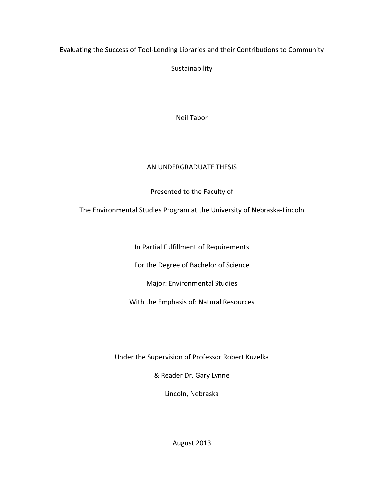## Evaluating the Success of Tool-Lending Libraries and their Contributions to Community

Sustainability

Neil Tabor

## AN UNDERGRADUATE THESIS

Presented to the Faculty of

The Environmental Studies Program at the University of Nebraska-Lincoln

In Partial Fulfillment of Requirements

For the Degree of Bachelor of Science

Major: Environmental Studies

With the Emphasis of: Natural Resources

Under the Supervision of Professor Robert Kuzelka

& Reader Dr. Gary Lynne

Lincoln, Nebraska

August 2013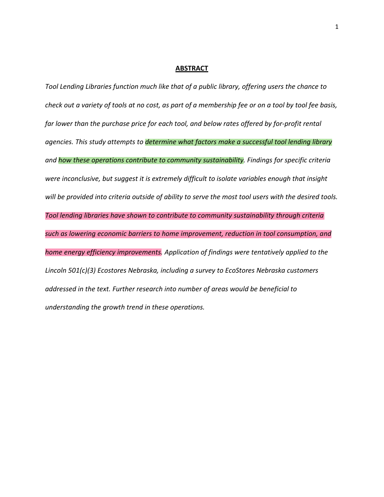#### **ABSTRACT**

Tool Lending Libraries function much like that of a public library, offering users the chance to check out a variety of tools at no cost, as part of a membership fee or on a tool by tool fee basis, far lower than the purchase price for each tool, and below rates offered by for-profit rental agencies. This study attempts to *determine what factors make a successful tool lending library* and how these operations contribute to community sustainability. Findings for specific criteria were inconclusive, but suggest it is extremely difficult to isolate variables enough that insight will be provided into criteria outside of ability to serve the most tool users with the desired tools. Tool lending libraries have shown to contribute to community sustainability through criteria such as lowering economic barriers to home improvement, reduction in tool consumption, and home energy efficiency improvements. Application of findings were tentatively applied to the Lincoln 501(c)(3) Ecostores Nebraska, including a survey to EcoStores Nebraska customers addressed in the text. Further research into number of areas would be beneficial to understanding the growth trend in these operations.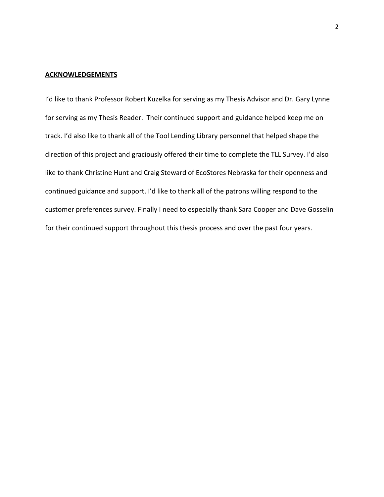#### **ACKNOWLEDGEMENTS**

I'd like to thank Professor Robert Kuzelka for serving as my Thesis Advisor and Dr. Gary Lynne for serving as my Thesis Reader. Their continued support and guidance helped keep me on track. I'd also like to thank all of the Tool Lending Library personnel that helped shape the direction of this project and graciously offered their time to complete the TLL Survey. I'd also like to thank Christine Hunt and Craig Steward of EcoStores Nebraska for their openness and continued guidance and support. I'd like to thank all of the patrons willing respond to the customer preferences survey. Finally I need to especially thank Sara Cooper and Dave Gosselin for their continued support throughout this thesis process and over the past four years.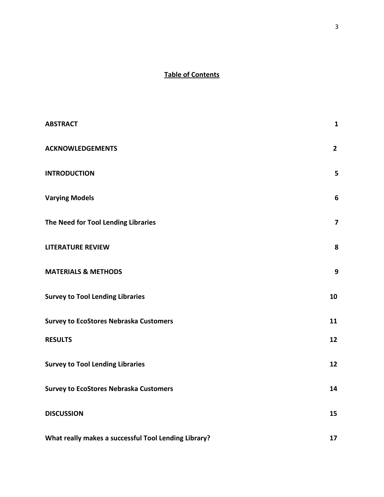## Table of Contents

| <b>ABSTRACT</b>                                      | $\mathbf{1}$            |
|------------------------------------------------------|-------------------------|
| <b>ACKNOWLEDGEMENTS</b>                              | $2^{\circ}$             |
| <b>INTRODUCTION</b>                                  | 5                       |
| <b>Varying Models</b>                                | $\boldsymbol{6}$        |
| The Need for Tool Lending Libraries                  | $\overline{\mathbf{z}}$ |
| <b>LITERATURE REVIEW</b>                             | 8                       |
| <b>MATERIALS &amp; METHODS</b>                       | $\mathbf{9}$            |
| <b>Survey to Tool Lending Libraries</b>              | 10                      |
| <b>Survey to EcoStores Nebraska Customers</b>        | 11                      |
| <b>RESULTS</b>                                       | 12                      |
| <b>Survey to Tool Lending Libraries</b>              | 12                      |
| <b>Survey to EcoStores Nebraska Customers</b>        | 14                      |
| <b>DISCUSSION</b>                                    | 15                      |
| What really makes a successful Tool Lending Library? | 17                      |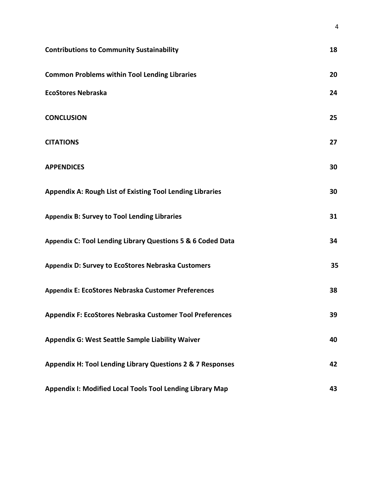| <b>Contributions to Community Sustainability</b>                 | 18 |
|------------------------------------------------------------------|----|
| <b>Common Problems within Tool Lending Libraries</b>             | 20 |
| <b>EcoStores Nebraska</b>                                        | 24 |
| <b>CONCLUSION</b>                                                | 25 |
| <b>CITATIONS</b>                                                 | 27 |
| <b>APPENDICES</b>                                                | 30 |
| <b>Appendix A: Rough List of Existing Tool Lending Libraries</b> | 30 |
| <b>Appendix B: Survey to Tool Lending Libraries</b>              | 31 |
| Appendix C: Tool Lending Library Questions 5 & 6 Coded Data      | 34 |
| Appendix D: Survey to EcoStores Nebraska Customers               | 35 |
| Appendix E: EcoStores Nebraska Customer Preferences              | 38 |
| <b>Appendix F: EcoStores Nebraska Customer Tool Preferences</b>  | 39 |
| Appendix G: West Seattle Sample Liability Waiver                 | 40 |
| Appendix H: Tool Lending Library Questions 2 & 7 Responses       | 42 |
| <b>Appendix I: Modified Local Tools Tool Lending Library Map</b> | 43 |

4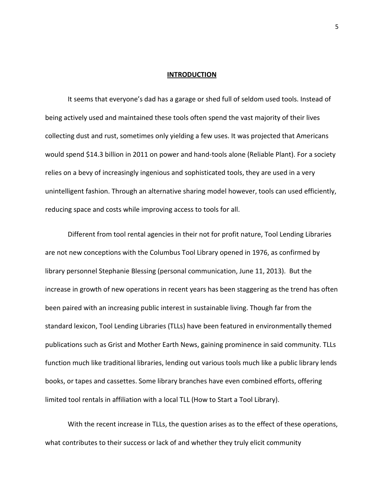#### **INTRODUCTION**

It seems that everyone's dad has a garage or shed full of seldom used tools. Instead of being actively used and maintained these tools often spend the vast majority of their lives collecting dust and rust, sometimes only yielding a few uses. It was projected that Americans would spend \$14.3 billion in 2011 on power and hand-tools alone (Reliable Plant). For a society relies on a bevy of increasingly ingenious and sophisticated tools, they are used in a very unintelligent fashion. Through an alternative sharing model however, tools can used efficiently, reducing space and costs while improving access to tools for all.

Different from tool rental agencies in their not for profit nature, Tool Lending Libraries are not new conceptions with the Columbus Tool Library opened in 1976, as confirmed by library personnel Stephanie Blessing (personal communication, June 11, 2013). But the increase in growth of new operations in recent years has been staggering as the trend has often been paired with an increasing public interest in sustainable living. Though far from the standard lexicon, Tool Lending Libraries (TLLs) have been featured in environmentally themed publications such as Grist and Mother Earth News, gaining prominence in said community. TLLs function much like traditional libraries, lending out various tools much like a public library lends books, or tapes and cassettes. Some library branches have even combined efforts, offering limited tool rentals in affiliation with a local TLL (How to Start a Tool Library).

With the recent increase in TLLs, the question arises as to the effect of these operations, what contributes to their success or lack of and whether they truly elicit community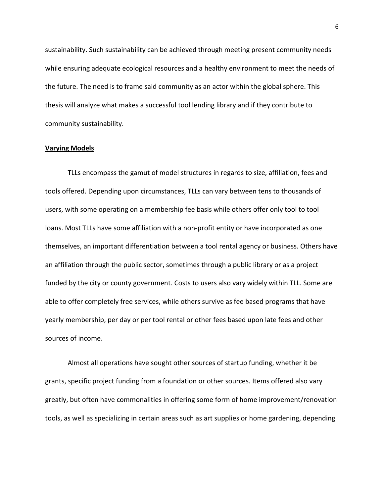sustainability. Such sustainability can be achieved through meeting present community needs while ensuring adequate ecological resources and a healthy environment to meet the needs of the future. The need is to frame said community as an actor within the global sphere. This thesis will analyze what makes a successful tool lending library and if they contribute to community sustainability.

## Varying Models

TLLs encompass the gamut of model structures in regards to size, affiliation, fees and tools offered. Depending upon circumstances, TLLs can vary between tens to thousands of users, with some operating on a membership fee basis while others offer only tool to tool loans. Most TLLs have some affiliation with a non-profit entity or have incorporated as one themselves, an important differentiation between a tool rental agency or business. Others have an affiliation through the public sector, sometimes through a public library or as a project funded by the city or county government. Costs to users also vary widely within TLL. Some are able to offer completely free services, while others survive as fee based programs that have yearly membership, per day or per tool rental or other fees based upon late fees and other sources of income.

Almost all operations have sought other sources of startup funding, whether it be grants, specific project funding from a foundation or other sources. Items offered also vary greatly, but often have commonalities in offering some form of home improvement/renovation tools, as well as specializing in certain areas such as art supplies or home gardening, depending

6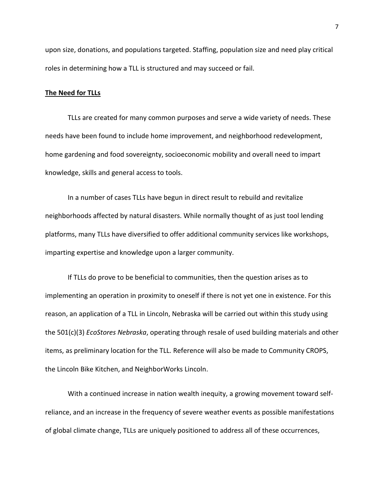upon size, donations, and populations targeted. Staffing, population size and need play critical roles in determining how a TLL is structured and may succeed or fail.

## The Need for TLLs

TLLs are created for many common purposes and serve a wide variety of needs. These needs have been found to include home improvement, and neighborhood redevelopment, home gardening and food sovereignty, socioeconomic mobility and overall need to impart knowledge, skills and general access to tools.

In a number of cases TLLs have begun in direct result to rebuild and revitalize neighborhoods affected by natural disasters. While normally thought of as just tool lending platforms, many TLLs have diversified to offer additional community services like workshops, imparting expertise and knowledge upon a larger community.

If TLLs do prove to be beneficial to communities, then the question arises as to implementing an operation in proximity to oneself if there is not yet one in existence. For this reason, an application of a TLL in Lincoln, Nebraska will be carried out within this study using the 501(c)(3) EcoStores Nebraska, operating through resale of used building materials and other items, as preliminary location for the TLL. Reference will also be made to Community CROPS, the Lincoln Bike Kitchen, and NeighborWorks Lincoln.

With a continued increase in nation wealth inequity, a growing movement toward selfreliance, and an increase in the frequency of severe weather events as possible manifestations of global climate change, TLLs are uniquely positioned to address all of these occurrences,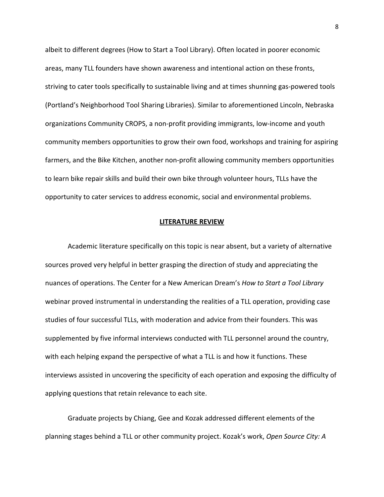albeit to different degrees (How to Start a Tool Library). Often located in poorer economic areas, many TLL founders have shown awareness and intentional action on these fronts, striving to cater tools specifically to sustainable living and at times shunning gas-powered tools (Portland's Neighborhood Tool Sharing Libraries). Similar to aforementioned Lincoln, Nebraska organizations Community CROPS, a non-profit providing immigrants, low-income and youth community members opportunities to grow their own food, workshops and training for aspiring farmers, and the Bike Kitchen, another non-profit allowing community members opportunities to learn bike repair skills and build their own bike through volunteer hours, TLLs have the opportunity to cater services to address economic, social and environmental problems.

#### LITERATURE REVIEW

Academic literature specifically on this topic is near absent, but a variety of alternative sources proved very helpful in better grasping the direction of study and appreciating the nuances of operations. The Center for a New American Dream's How to Start a Tool Library webinar proved instrumental in understanding the realities of a TLL operation, providing case studies of four successful TLLs, with moderation and advice from their founders. This was supplemented by five informal interviews conducted with TLL personnel around the country, with each helping expand the perspective of what a TLL is and how it functions. These interviews assisted in uncovering the specificity of each operation and exposing the difficulty of applying questions that retain relevance to each site.

Graduate projects by Chiang, Gee and Kozak addressed different elements of the planning stages behind a TLL or other community project. Kozak's work, Open Source City: A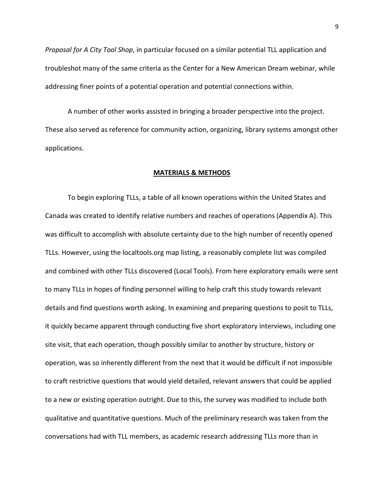Proposal for A City Tool Shop, in particular focused on a similar potential TLL application and troubleshot many of the same criteria as the Center for a New American Dream webinar, while addressing finer points of a potential operation and potential connections within.

A number of other works assisted in bringing a broader perspective into the project. These also served as reference for community action, organizing, library systems amongst other applications.

## MATERIALS & METHODS

To begin exploring TLLs, a table of all known operations within the United States and Canada was created to identify relative numbers and reaches of operations (Appendix A). This was difficult to accomplish with absolute certainty due to the high number of recently opened TLLs. However, using the localtools.org map listing, a reasonably complete list was compiled and combined with other TLLs discovered (Local Tools). From here exploratory emails were sent to many TLLs in hopes of finding personnel willing to help craft this study towards relevant details and find questions worth asking. In examining and preparing questions to posit to TLLs, it quickly became apparent through conducting five short exploratory interviews, including one site visit, that each operation, though possibly similar to another by structure, history or operation, was so inherently different from the next that it would be difficult if not impossible to craft restrictive questions that would yield detailed, relevant answers that could be applied to a new or existing operation outright. Due to this, the survey was modified to include both qualitative and quantitative questions. Much of the preliminary research was taken from the conversations had with TLL members, as academic research addressing TLLs more than in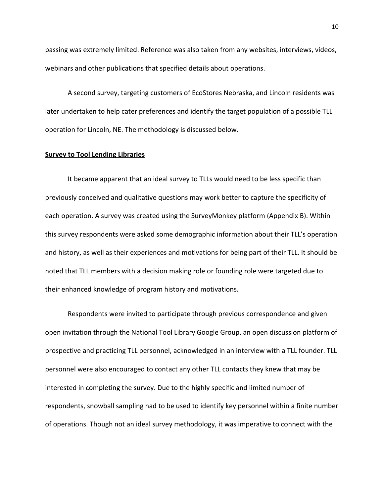passing was extremely limited. Reference was also taken from any websites, interviews, videos, webinars and other publications that specified details about operations.

A second survey, targeting customers of EcoStores Nebraska, and Lincoln residents was later undertaken to help cater preferences and identify the target population of a possible TLL operation for Lincoln, NE. The methodology is discussed below.

#### Survey to Tool Lending Libraries

It became apparent that an ideal survey to TLLs would need to be less specific than previously conceived and qualitative questions may work better to capture the specificity of each operation. A survey was created using the SurveyMonkey platform (Appendix B). Within this survey respondents were asked some demographic information about their TLL's operation and history, as well as their experiences and motivations for being part of their TLL. It should be noted that TLL members with a decision making role or founding role were targeted due to their enhanced knowledge of program history and motivations.

Respondents were invited to participate through previous correspondence and given open invitation through the National Tool Library Google Group, an open discussion platform of prospective and practicing TLL personnel, acknowledged in an interview with a TLL founder. TLL personnel were also encouraged to contact any other TLL contacts they knew that may be interested in completing the survey. Due to the highly specific and limited number of respondents, snowball sampling had to be used to identify key personnel within a finite number of operations. Though not an ideal survey methodology, it was imperative to connect with the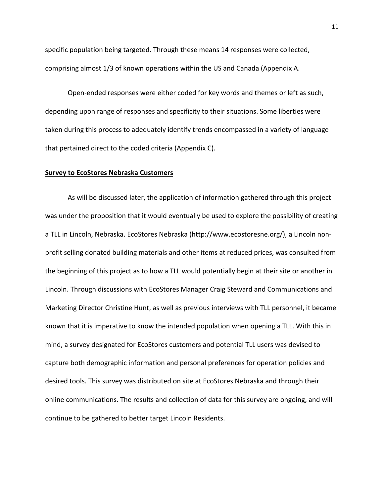specific population being targeted. Through these means 14 responses were collected, comprising almost 1/3 of known operations within the US and Canada (Appendix A.

Open-ended responses were either coded for key words and themes or left as such, depending upon range of responses and specificity to their situations. Some liberties were taken during this process to adequately identify trends encompassed in a variety of language that pertained direct to the coded criteria (Appendix C).

## Survey to EcoStores Nebraska Customers

As will be discussed later, the application of information gathered through this project was under the proposition that it would eventually be used to explore the possibility of creating a TLL in Lincoln, Nebraska. EcoStores Nebraska (http://www.ecostoresne.org/), a Lincoln nonprofit selling donated building materials and other items at reduced prices, was consulted from the beginning of this project as to how a TLL would potentially begin at their site or another in Lincoln. Through discussions with EcoStores Manager Craig Steward and Communications and Marketing Director Christine Hunt, as well as previous interviews with TLL personnel, it became known that it is imperative to know the intended population when opening a TLL. With this in mind, a survey designated for EcoStores customers and potential TLL users was devised to capture both demographic information and personal preferences for operation policies and desired tools. This survey was distributed on site at EcoStores Nebraska and through their online communications. The results and collection of data for this survey are ongoing, and will continue to be gathered to better target Lincoln Residents.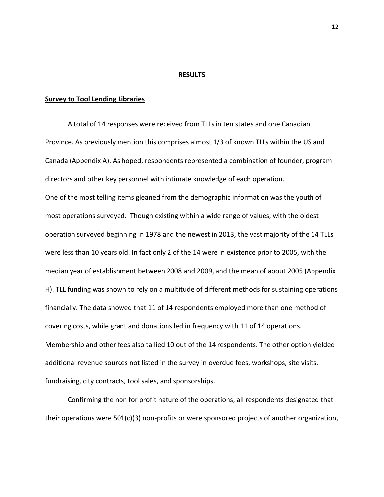#### RESULTS

#### Survey to Tool Lending Libraries

A total of 14 responses were received from TLLs in ten states and one Canadian Province. As previously mention this comprises almost 1/3 of known TLLs within the US and Canada (Appendix A). As hoped, respondents represented a combination of founder, program directors and other key personnel with intimate knowledge of each operation. One of the most telling items gleaned from the demographic information was the youth of most operations surveyed. Though existing within a wide range of values, with the oldest operation surveyed beginning in 1978 and the newest in 2013, the vast majority of the 14 TLLs were less than 10 years old. In fact only 2 of the 14 were in existence prior to 2005, with the median year of establishment between 2008 and 2009, and the mean of about 2005 (Appendix H). TLL funding was shown to rely on a multitude of different methods for sustaining operations financially. The data showed that 11 of 14 respondents employed more than one method of covering costs, while grant and donations led in frequency with 11 of 14 operations. Membership and other fees also tallied 10 out of the 14 respondents. The other option yielded additional revenue sources not listed in the survey in overdue fees, workshops, site visits, fundraising, city contracts, tool sales, and sponsorships.

Confirming the non for profit nature of the operations, all respondents designated that their operations were 501(c)(3) non-profits or were sponsored projects of another organization,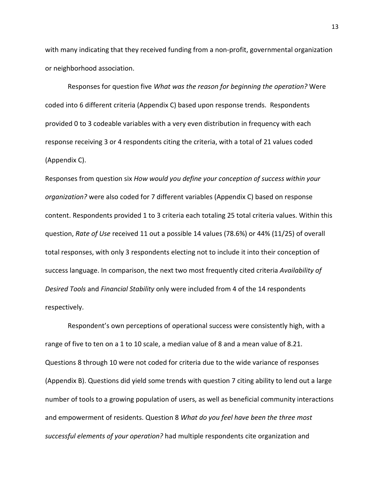with many indicating that they received funding from a non-profit, governmental organization or neighborhood association.

Responses for question five What was the reason for beginning the operation? Were coded into 6 different criteria (Appendix C) based upon response trends. Respondents provided 0 to 3 codeable variables with a very even distribution in frequency with each response receiving 3 or 4 respondents citing the criteria, with a total of 21 values coded (Appendix C).

Responses from question six How would you define your conception of success within your organization? were also coded for 7 different variables (Appendix C) based on response content. Respondents provided 1 to 3 criteria each totaling 25 total criteria values. Within this question, Rate of Use received 11 out a possible 14 values (78.6%) or 44% (11/25) of overall total responses, with only 3 respondents electing not to include it into their conception of success language. In comparison, the next two most frequently cited criteria Availability of Desired Tools and Financial Stability only were included from 4 of the 14 respondents respectively.

Respondent's own perceptions of operational success were consistently high, with a range of five to ten on a 1 to 10 scale, a median value of 8 and a mean value of 8.21. Questions 8 through 10 were not coded for criteria due to the wide variance of responses (Appendix B). Questions did yield some trends with question 7 citing ability to lend out a large number of tools to a growing population of users, as well as beneficial community interactions and empowerment of residents. Question 8 What do you feel have been the three most successful elements of your operation? had multiple respondents cite organization and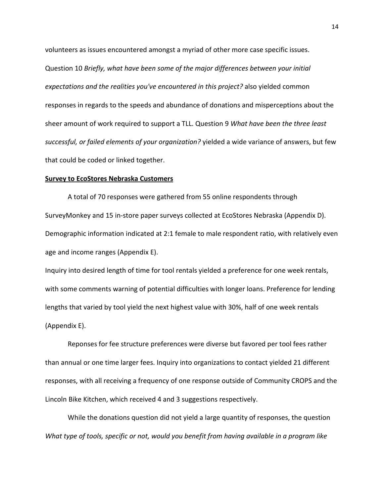volunteers as issues encountered amongst a myriad of other more case specific issues. Question 10 Briefly, what have been some of the major differences between your initial expectations and the realities you've encountered in this project? also yielded common responses in regards to the speeds and abundance of donations and misperceptions about the sheer amount of work required to support a TLL. Question 9 What have been the three least successful, or failed elements of your organization? yielded a wide variance of answers, but few that could be coded or linked together.

#### Survey to EcoStores Nebraska Customers

A total of 70 responses were gathered from 55 online respondents through SurveyMonkey and 15 in-store paper surveys collected at EcoStores Nebraska (Appendix D). Demographic information indicated at 2:1 female to male respondent ratio, with relatively even age and income ranges (Appendix E).

Inquiry into desired length of time for tool rentals yielded a preference for one week rentals, with some comments warning of potential difficulties with longer loans. Preference for lending lengths that varied by tool yield the next highest value with 30%, half of one week rentals (Appendix E).

Reponses for fee structure preferences were diverse but favored per tool fees rather than annual or one time larger fees. Inquiry into organizations to contact yielded 21 different responses, with all receiving a frequency of one response outside of Community CROPS and the Lincoln Bike Kitchen, which received 4 and 3 suggestions respectively.

While the donations question did not yield a large quantity of responses, the question What type of tools, specific or not, would you benefit from having available in a program like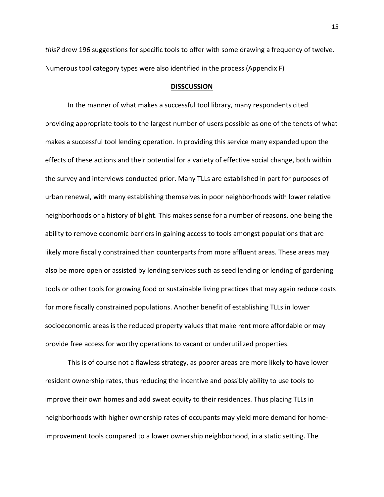this? drew 196 suggestions for specific tools to offer with some drawing a frequency of twelve. Numerous tool category types were also identified in the process (Appendix F)

#### **DISSCUSSION**

In the manner of what makes a successful tool library, many respondents cited providing appropriate tools to the largest number of users possible as one of the tenets of what makes a successful tool lending operation. In providing this service many expanded upon the effects of these actions and their potential for a variety of effective social change, both within the survey and interviews conducted prior. Many TLLs are established in part for purposes of urban renewal, with many establishing themselves in poor neighborhoods with lower relative neighborhoods or a history of blight. This makes sense for a number of reasons, one being the ability to remove economic barriers in gaining access to tools amongst populations that are likely more fiscally constrained than counterparts from more affluent areas. These areas may also be more open or assisted by lending services such as seed lending or lending of gardening tools or other tools for growing food or sustainable living practices that may again reduce costs for more fiscally constrained populations. Another benefit of establishing TLLs in lower socioeconomic areas is the reduced property values that make rent more affordable or may provide free access for worthy operations to vacant or underutilized properties.

This is of course not a flawless strategy, as poorer areas are more likely to have lower resident ownership rates, thus reducing the incentive and possibly ability to use tools to improve their own homes and add sweat equity to their residences. Thus placing TLLs in neighborhoods with higher ownership rates of occupants may yield more demand for homeimprovement tools compared to a lower ownership neighborhood, in a static setting. The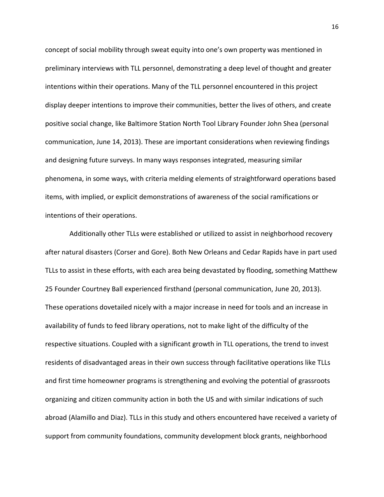concept of social mobility through sweat equity into one's own property was mentioned in preliminary interviews with TLL personnel, demonstrating a deep level of thought and greater intentions within their operations. Many of the TLL personnel encountered in this project display deeper intentions to improve their communities, better the lives of others, and create positive social change, like Baltimore Station North Tool Library Founder John Shea (personal communication, June 14, 2013). These are important considerations when reviewing findings and designing future surveys. In many ways responses integrated, measuring similar phenomena, in some ways, with criteria melding elements of straightforward operations based items, with implied, or explicit demonstrations of awareness of the social ramifications or intentions of their operations.

 Additionally other TLLs were established or utilized to assist in neighborhood recovery after natural disasters (Corser and Gore). Both New Orleans and Cedar Rapids have in part used TLLs to assist in these efforts, with each area being devastated by flooding, something Matthew 25 Founder Courtney Ball experienced firsthand (personal communication, June 20, 2013). These operations dovetailed nicely with a major increase in need for tools and an increase in availability of funds to feed library operations, not to make light of the difficulty of the respective situations. Coupled with a significant growth in TLL operations, the trend to invest residents of disadvantaged areas in their own success through facilitative operations like TLLs and first time homeowner programs is strengthening and evolving the potential of grassroots organizing and citizen community action in both the US and with similar indications of such abroad (Alamillo and Diaz). TLLs in this study and others encountered have received a variety of support from community foundations, community development block grants, neighborhood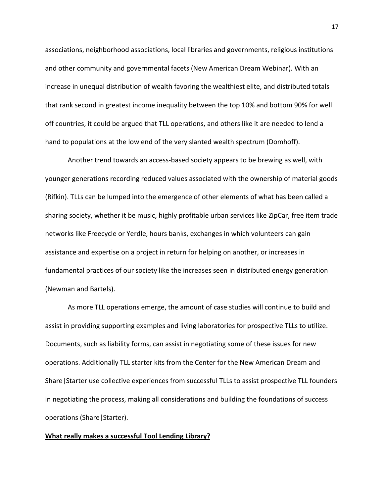associations, neighborhood associations, local libraries and governments, religious institutions and other community and governmental facets (New American Dream Webinar). With an increase in unequal distribution of wealth favoring the wealthiest elite, and distributed totals that rank second in greatest income inequality between the top 10% and bottom 90% for well off countries, it could be argued that TLL operations, and others like it are needed to lend a hand to populations at the low end of the very slanted wealth spectrum (Domhoff).

Another trend towards an access-based society appears to be brewing as well, with younger generations recording reduced values associated with the ownership of material goods (Rifkin). TLLs can be lumped into the emergence of other elements of what has been called a sharing society, whether it be music, highly profitable urban services like ZipCar, free item trade networks like Freecycle or Yerdle, hours banks, exchanges in which volunteers can gain assistance and expertise on a project in return for helping on another, or increases in fundamental practices of our society like the increases seen in distributed energy generation (Newman and Bartels).

As more TLL operations emerge, the amount of case studies will continue to build and assist in providing supporting examples and living laboratories for prospective TLLs to utilize. Documents, such as liability forms, can assist in negotiating some of these issues for new operations. Additionally TLL starter kits from the Center for the New American Dream and Share|Starter use collective experiences from successful TLLs to assist prospective TLL founders in negotiating the process, making all considerations and building the foundations of success operations (Share|Starter).

## What really makes a successful Tool Lending Library?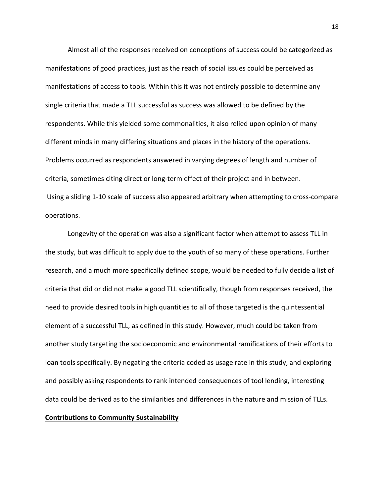Almost all of the responses received on conceptions of success could be categorized as manifestations of good practices, just as the reach of social issues could be perceived as manifestations of access to tools. Within this it was not entirely possible to determine any single criteria that made a TLL successful as success was allowed to be defined by the respondents. While this yielded some commonalities, it also relied upon opinion of many different minds in many differing situations and places in the history of the operations. Problems occurred as respondents answered in varying degrees of length and number of criteria, sometimes citing direct or long-term effect of their project and in between. Using a sliding 1-10 scale of success also appeared arbitrary when attempting to cross-compare operations.

Longevity of the operation was also a significant factor when attempt to assess TLL in the study, but was difficult to apply due to the youth of so many of these operations. Further research, and a much more specifically defined scope, would be needed to fully decide a list of criteria that did or did not make a good TLL scientifically, though from responses received, the need to provide desired tools in high quantities to all of those targeted is the quintessential element of a successful TLL, as defined in this study. However, much could be taken from another study targeting the socioeconomic and environmental ramifications of their efforts to loan tools specifically. By negating the criteria coded as usage rate in this study, and exploring and possibly asking respondents to rank intended consequences of tool lending, interesting data could be derived as to the similarities and differences in the nature and mission of TLLs.

## Contributions to Community Sustainability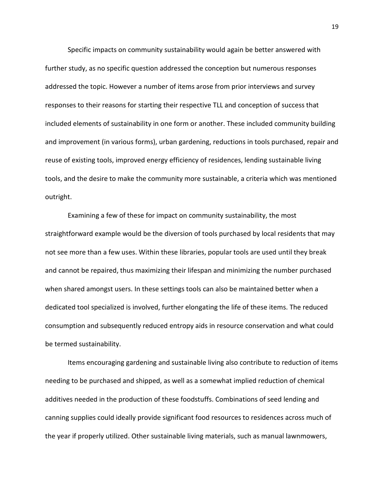Specific impacts on community sustainability would again be better answered with further study, as no specific question addressed the conception but numerous responses addressed the topic. However a number of items arose from prior interviews and survey responses to their reasons for starting their respective TLL and conception of success that included elements of sustainability in one form or another. These included community building and improvement (in various forms), urban gardening, reductions in tools purchased, repair and reuse of existing tools, improved energy efficiency of residences, lending sustainable living tools, and the desire to make the community more sustainable, a criteria which was mentioned outright.

Examining a few of these for impact on community sustainability, the most straightforward example would be the diversion of tools purchased by local residents that may not see more than a few uses. Within these libraries, popular tools are used until they break and cannot be repaired, thus maximizing their lifespan and minimizing the number purchased when shared amongst users. In these settings tools can also be maintained better when a dedicated tool specialized is involved, further elongating the life of these items. The reduced consumption and subsequently reduced entropy aids in resource conservation and what could be termed sustainability.

Items encouraging gardening and sustainable living also contribute to reduction of items needing to be purchased and shipped, as well as a somewhat implied reduction of chemical additives needed in the production of these foodstuffs. Combinations of seed lending and canning supplies could ideally provide significant food resources to residences across much of the year if properly utilized. Other sustainable living materials, such as manual lawnmowers,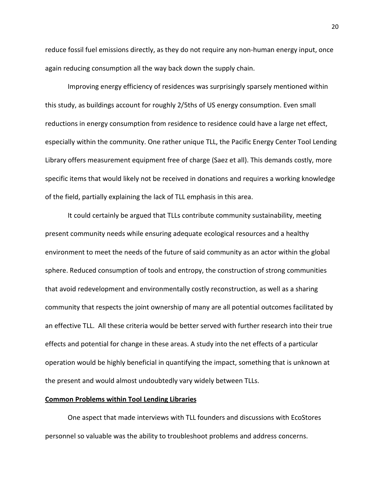reduce fossil fuel emissions directly, as they do not require any non-human energy input, once again reducing consumption all the way back down the supply chain.

Improving energy efficiency of residences was surprisingly sparsely mentioned within this study, as buildings account for roughly 2/5ths of US energy consumption. Even small reductions in energy consumption from residence to residence could have a large net effect, especially within the community. One rather unique TLL, the Pacific Energy Center Tool Lending Library offers measurement equipment free of charge (Saez et all). This demands costly, more specific items that would likely not be received in donations and requires a working knowledge of the field, partially explaining the lack of TLL emphasis in this area.

It could certainly be argued that TLLs contribute community sustainability, meeting present community needs while ensuring adequate ecological resources and a healthy environment to meet the needs of the future of said community as an actor within the global sphere. Reduced consumption of tools and entropy, the construction of strong communities that avoid redevelopment and environmentally costly reconstruction, as well as a sharing community that respects the joint ownership of many are all potential outcomes facilitated by an effective TLL. All these criteria would be better served with further research into their true effects and potential for change in these areas. A study into the net effects of a particular operation would be highly beneficial in quantifying the impact, something that is unknown at the present and would almost undoubtedly vary widely between TLLs.

## Common Problems within Tool Lending Libraries

One aspect that made interviews with TLL founders and discussions with EcoStores personnel so valuable was the ability to troubleshoot problems and address concerns.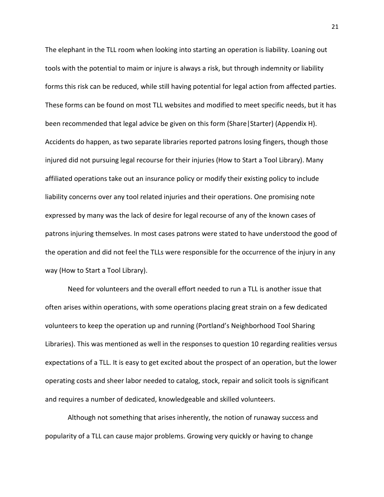The elephant in the TLL room when looking into starting an operation is liability. Loaning out tools with the potential to maim or injure is always a risk, but through indemnity or liability forms this risk can be reduced, while still having potential for legal action from affected parties. These forms can be found on most TLL websites and modified to meet specific needs, but it has been recommended that legal advice be given on this form (Share|Starter) (Appendix H). Accidents do happen, as two separate libraries reported patrons losing fingers, though those injured did not pursuing legal recourse for their injuries (How to Start a Tool Library). Many affiliated operations take out an insurance policy or modify their existing policy to include liability concerns over any tool related injuries and their operations. One promising note expressed by many was the lack of desire for legal recourse of any of the known cases of patrons injuring themselves. In most cases patrons were stated to have understood the good of the operation and did not feel the TLLs were responsible for the occurrence of the injury in any way (How to Start a Tool Library).

Need for volunteers and the overall effort needed to run a TLL is another issue that often arises within operations, with some operations placing great strain on a few dedicated volunteers to keep the operation up and running (Portland's Neighborhood Tool Sharing Libraries). This was mentioned as well in the responses to question 10 regarding realities versus expectations of a TLL. It is easy to get excited about the prospect of an operation, but the lower operating costs and sheer labor needed to catalog, stock, repair and solicit tools is significant and requires a number of dedicated, knowledgeable and skilled volunteers.

Although not something that arises inherently, the notion of runaway success and popularity of a TLL can cause major problems. Growing very quickly or having to change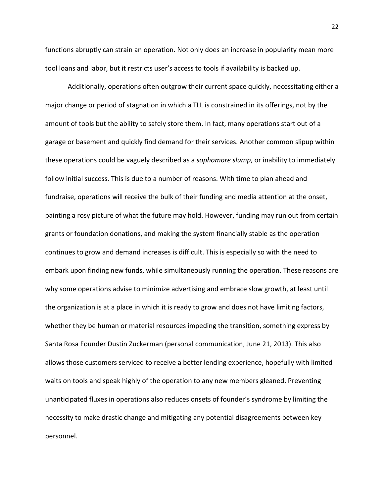functions abruptly can strain an operation. Not only does an increase in popularity mean more tool loans and labor, but it restricts user's access to tools if availability is backed up.

 Additionally, operations often outgrow their current space quickly, necessitating either a major change or period of stagnation in which a TLL is constrained in its offerings, not by the amount of tools but the ability to safely store them. In fact, many operations start out of a garage or basement and quickly find demand for their services. Another common slipup within these operations could be vaguely described as a *sophomore slump*, or inability to immediately follow initial success. This is due to a number of reasons. With time to plan ahead and fundraise, operations will receive the bulk of their funding and media attention at the onset, painting a rosy picture of what the future may hold. However, funding may run out from certain grants or foundation donations, and making the system financially stable as the operation continues to grow and demand increases is difficult. This is especially so with the need to embark upon finding new funds, while simultaneously running the operation. These reasons are why some operations advise to minimize advertising and embrace slow growth, at least until the organization is at a place in which it is ready to grow and does not have limiting factors, whether they be human or material resources impeding the transition, something express by Santa Rosa Founder Dustin Zuckerman (personal communication, June 21, 2013). This also allows those customers serviced to receive a better lending experience, hopefully with limited waits on tools and speak highly of the operation to any new members gleaned. Preventing unanticipated fluxes in operations also reduces onsets of founder's syndrome by limiting the necessity to make drastic change and mitigating any potential disagreements between key personnel.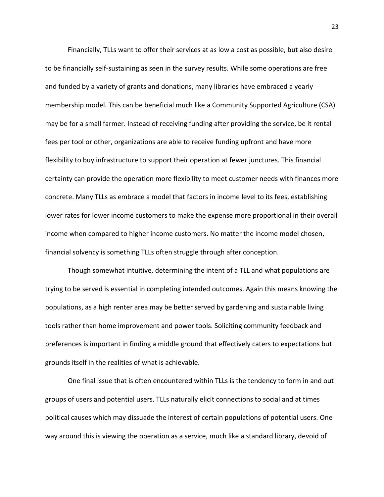Financially, TLLs want to offer their services at as low a cost as possible, but also desire to be financially self-sustaining as seen in the survey results. While some operations are free and funded by a variety of grants and donations, many libraries have embraced a yearly membership model. This can be beneficial much like a Community Supported Agriculture (CSA) may be for a small farmer. Instead of receiving funding after providing the service, be it rental fees per tool or other, organizations are able to receive funding upfront and have more flexibility to buy infrastructure to support their operation at fewer junctures. This financial certainty can provide the operation more flexibility to meet customer needs with finances more concrete. Many TLLs as embrace a model that factors in income level to its fees, establishing lower rates for lower income customers to make the expense more proportional in their overall income when compared to higher income customers. No matter the income model chosen, financial solvency is something TLLs often struggle through after conception.

Though somewhat intuitive, determining the intent of a TLL and what populations are trying to be served is essential in completing intended outcomes. Again this means knowing the populations, as a high renter area may be better served by gardening and sustainable living tools rather than home improvement and power tools. Soliciting community feedback and preferences is important in finding a middle ground that effectively caters to expectations but grounds itself in the realities of what is achievable.

One final issue that is often encountered within TLLs is the tendency to form in and out groups of users and potential users. TLLs naturally elicit connections to social and at times political causes which may dissuade the interest of certain populations of potential users. One way around this is viewing the operation as a service, much like a standard library, devoid of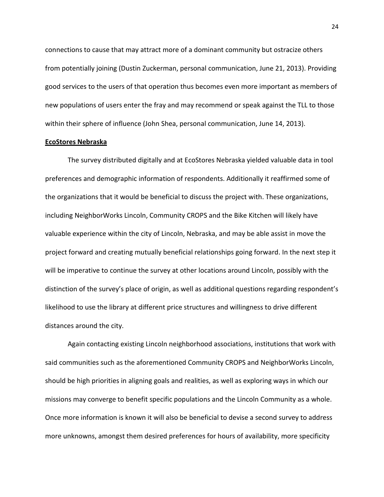connections to cause that may attract more of a dominant community but ostracize others from potentially joining (Dustin Zuckerman, personal communication, June 21, 2013). Providing good services to the users of that operation thus becomes even more important as members of new populations of users enter the fray and may recommend or speak against the TLL to those within their sphere of influence (John Shea, personal communication, June 14, 2013).

#### EcoStores Nebraska

The survey distributed digitally and at EcoStores Nebraska yielded valuable data in tool preferences and demographic information of respondents. Additionally it reaffirmed some of the organizations that it would be beneficial to discuss the project with. These organizations, including NeighborWorks Lincoln, Community CROPS and the Bike Kitchen will likely have valuable experience within the city of Lincoln, Nebraska, and may be able assist in move the project forward and creating mutually beneficial relationships going forward. In the next step it will be imperative to continue the survey at other locations around Lincoln, possibly with the distinction of the survey's place of origin, as well as additional questions regarding respondent's likelihood to use the library at different price structures and willingness to drive different distances around the city.

Again contacting existing Lincoln neighborhood associations, institutions that work with said communities such as the aforementioned Community CROPS and NeighborWorks Lincoln, should be high priorities in aligning goals and realities, as well as exploring ways in which our missions may converge to benefit specific populations and the Lincoln Community as a whole. Once more information is known it will also be beneficial to devise a second survey to address more unknowns, amongst them desired preferences for hours of availability, more specificity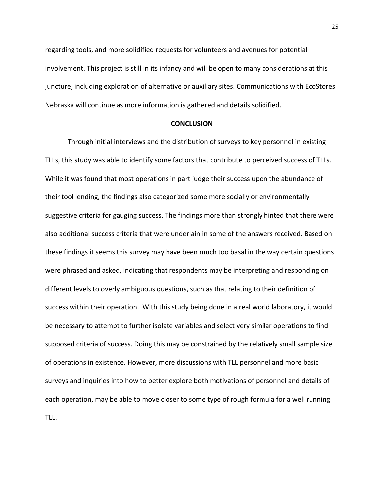regarding tools, and more solidified requests for volunteers and avenues for potential involvement. This project is still in its infancy and will be open to many considerations at this juncture, including exploration of alternative or auxiliary sites. Communications with EcoStores Nebraska will continue as more information is gathered and details solidified.

#### **CONCLUSION**

Through initial interviews and the distribution of surveys to key personnel in existing TLLs, this study was able to identify some factors that contribute to perceived success of TLLs. While it was found that most operations in part judge their success upon the abundance of their tool lending, the findings also categorized some more socially or environmentally suggestive criteria for gauging success. The findings more than strongly hinted that there were also additional success criteria that were underlain in some of the answers received. Based on these findings it seems this survey may have been much too basal in the way certain questions were phrased and asked, indicating that respondents may be interpreting and responding on different levels to overly ambiguous questions, such as that relating to their definition of success within their operation. With this study being done in a real world laboratory, it would be necessary to attempt to further isolate variables and select very similar operations to find supposed criteria of success. Doing this may be constrained by the relatively small sample size of operations in existence. However, more discussions with TLL personnel and more basic surveys and inquiries into how to better explore both motivations of personnel and details of each operation, may be able to move closer to some type of rough formula for a well running TLL.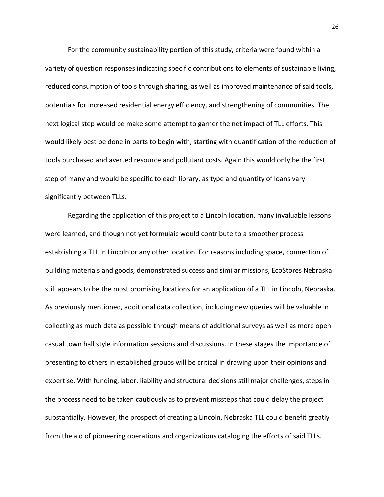For the community sustainability portion of this study, criteria were found within a variety of question responses indicating specific contributions to elements of sustainable living, reduced consumption of tools through sharing, as well as improved maintenance of said tools, potentials for increased residential energy efficiency, and strengthening of communities. The next logical step would be make some attempt to garner the net impact of TLL efforts. This would likely best be done in parts to begin with, starting with quantification of the reduction of tools purchased and averted resource and pollutant costs. Again this would only be the first step of many and would be specific to each library, as type and quantity of loans vary significantly between TLLs.

Regarding the application of this project to a Lincoln location, many invaluable lessons were learned, and though not yet formulaic would contribute to a smoother process establishing a TLL in Lincoln or any other location. For reasons including space, connection of building materials and goods, demonstrated success and similar missions, EcoStores Nebraska still appears to be the most promising locations for an application of a TLL in Lincoln, Nebraska. As previously mentioned, additional data collection, including new queries will be valuable in collecting as much data as possible through means of additional surveys as well as more open casual town hall style information sessions and discussions. In these stages the importance of presenting to others in established groups will be critical in drawing upon their opinions and expertise. With funding, labor, liability and structural decisions still major challenges, steps in the process need to be taken cautiously as to prevent missteps that could delay the project substantially. However, the prospect of creating a Lincoln, Nebraska TLL could benefit greatly from the aid of pioneering operations and organizations cataloging the efforts of said TLLs.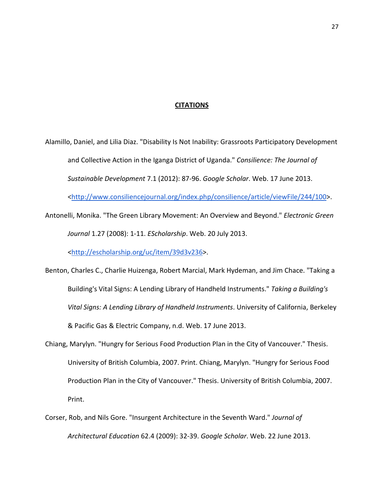## **CITATIONS**

Alamillo, Daniel, and Lilia Diaz. "Disability Is Not Inability: Grassroots Participatory Development and Collective Action in the Iganga District of Uganda." Consilience: The Journal of Sustainable Development 7.1 (2012): 87-96. Google Scholar. Web. 17 June 2013. <http://www.consiliencejournal.org/index.php/consilience/article/viewFile/244/100>.

Antonelli, Monika. "The Green Library Movement: An Overview and Beyond." Electronic Green Journal 1.27 (2008): 1-11. EScholarship. Web. 20 July 2013.

<http://escholarship.org/uc/item/39d3v236>.

Benton, Charles C., Charlie Huizenga, Robert Marcial, Mark Hydeman, and Jim Chace. "Taking a Building's Vital Signs: A Lending Library of Handheld Instruments." Taking a Building's Vital Signs: A Lending Library of Handheld Instruments. University of California, Berkeley & Pacific Gas & Electric Company, n.d. Web. 17 June 2013.

- Chiang, Marylyn. "Hungry for Serious Food Production Plan in the City of Vancouver." Thesis. University of British Columbia, 2007. Print. Chiang, Marylyn. "Hungry for Serious Food Production Plan in the City of Vancouver." Thesis. University of British Columbia, 2007. Print.
- Corser, Rob, and Nils Gore. "Insurgent Architecture in the Seventh Ward." Journal of Architectural Education 62.4 (2009): 32-39. Google Scholar. Web. 22 June 2013.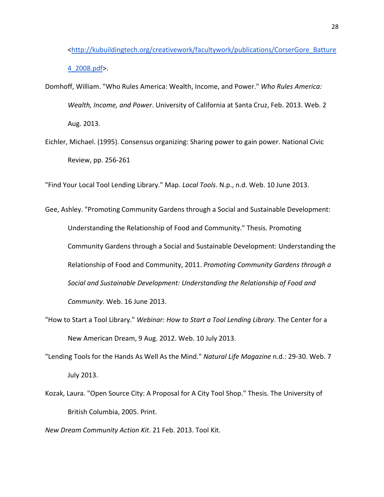<http://kubuildingtech.org/creativework/facultywork/publications/CorserGore\_Batture 4\_2008.pdf>.

- Domhoff, William. "Who Rules America: Wealth, Income, and Power." Who Rules America: Wealth, Income, and Power. University of California at Santa Cruz, Feb. 2013. Web. 2 Aug. 2013.
- Eichler, Michael. (1995). Consensus organizing: Sharing power to gain power. National Civic Review, pp. 256-261

"Find Your Local Tool Lending Library." Map. Local Tools. N.p., n.d. Web. 10 June 2013.

- Gee, Ashley. "Promoting Community Gardens through a Social and Sustainable Development: Understanding the Relationship of Food and Community." Thesis. Promoting Community Gardens through a Social and Sustainable Development: Understanding the Relationship of Food and Community, 2011. Promoting Community Gardens through a Social and Sustainable Development: Understanding the Relationship of Food and Community. Web. 16 June 2013.
- "How to Start a Tool Library." Webinar: How to Start a Tool Lending Library. The Center for a New American Dream, 9 Aug. 2012. Web. 10 July 2013.
- "Lending Tools for the Hands As Well As the Mind." Natural Life Magazine n.d.: 29-30. Web. 7 July 2013.
- Kozak, Laura. "Open Source City: A Proposal for A City Tool Shop." Thesis. The University of British Columbia, 2005. Print.

New Dream Community Action Kit. 21 Feb. 2013. Tool Kit.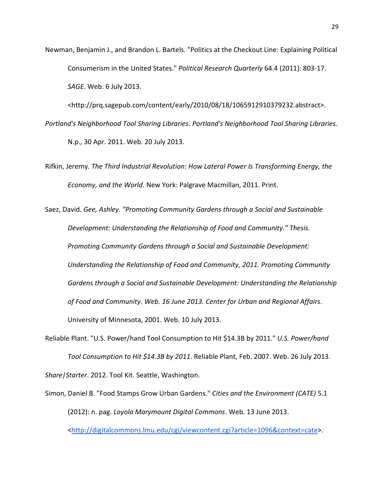Newman, Benjamin J., and Brandon L. Bartels. "Politics at the Checkout Line: Explaining Political Consumerism in the United States." Political Research Quarterly 64.4 (2011): 803-17. SAGE. Web. 6 July 2013.

<http://prq.sagepub.com/content/early/2010/08/18/1065912910379232.abstract>. Portland's Neighborhood Tool Sharing Libraries. Portland's Neighborhood Tool Sharing Libraries. N.p., 30 Apr. 2011. Web. 20 July 2013.

Rifkin, Jeremy. The Third Industrial Revolution: How Lateral Power Is Transforming Energy, the Economy, and the World. New York: Palgrave Macmillan, 2011. Print.

Saez, David. Gee, Ashley. "Promoting Community Gardens through a Social and Sustainable Development: Understanding the Relationship of Food and Community." Thesis. Promoting Community Gardens through a Social and Sustainable Development: Understanding the Relationship of Food and Community, 2011. Promoting Community Gardens through a Social and Sustainable Development: Understanding the Relationship of Food and Community. Web. 16 June 2013. Center for Urban and Regional Affairs. University of Minnesota, 2001. Web. 10 July 2013.

- Reliable Plant. "U.S. Power/hand Tool Consumption to Hit \$14.3B by 2011." U.S. Power/hand Tool Consumption to Hit \$14.3B by 2011. Reliable Plant, Feb. 2007. Web. 26 July 2013. Share|Starter. 2012. Tool Kit. Seattle, Washington.
- Simon, Daniel B. "Food Stamps Grow Urban Gardens." Cities and the Environment (CATE) 5.1 (2012): n. pag. Loyola Marymount Digital Commons. Web. 13 June 2013. <http://digitalcommons.lmu.edu/cgi/viewcontent.cgi?article=1096&context=cate>.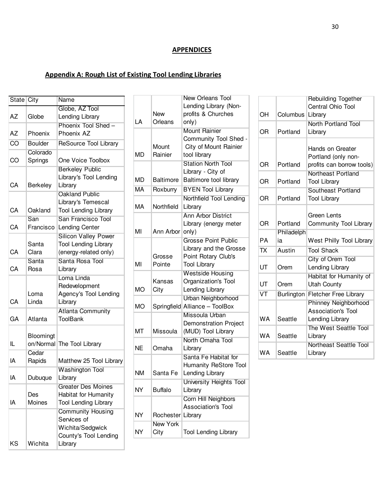## **APPENDICES**

T.

# Appendix A: Rough List of Existing Tool Lending Libraries

| State City |                | Name                        |
|------------|----------------|-----------------------------|
|            |                | Globe, AZ Tool              |
| AZ         | Globe          | Lending Library             |
|            |                | Phoenix Tool Shed -         |
| AΖ         | Phoenix        | Phoenix AZ                  |
| CO         | <b>Boulder</b> | ReSource Tool Library       |
|            | Colorado       |                             |
| CO         | Springs        | One Voice Toolbox           |
|            |                | <b>Berkeley Public</b>      |
|            |                | Library's Tool Lending      |
| CA         | Berkeley       | Library                     |
|            |                | Oakland Public              |
|            |                | Library's Temescal          |
| CA         | Oakland        | <b>Tool Lending Library</b> |
|            | San            | San Francisco Tool          |
| CA         | Francisco      | Lending Center              |
|            |                | <b>Silicon Valley Power</b> |
|            | Santa          | <b>Tool Lending Library</b> |
| СA         | Clara          | (energy-related only)       |
|            | Santa          | Santa Rosa Tool             |
| CA         | Rosa           | Library                     |
|            |                | Loma Linda                  |
|            |                | Redevelopment               |
|            | Loma           | Agency's Tool Lending       |
| CA         | Linda          | Library                     |
|            |                | <b>Atlanta Community</b>    |
| GА         | Atlanta        | ToolBank                    |
|            |                |                             |
|            | Bloomingt      |                             |
| IL         | on/Normal      | The Tool Library            |
|            | Cedar          |                             |
| IA         | Rapids         | Matthew 25 Tool Library     |
|            |                | <b>Washington Tool</b>      |
| ΙA         | Dubuque        | Library                     |
|            |                | <b>Greater Des Moines</b>   |
|            | Des            | Habitat for Humanity        |
| IA         | Moines         | <b>Tool Lending Library</b> |
|            |                | <b>Community Housing</b>    |
|            |                | Services of                 |
|            |                | Wichita/Sedgwick            |
|            |                | County's Tool Lending       |
| KS         | Wichita        | Library                     |

|           |                  | <b>New Orleans Tool</b>        |
|-----------|------------------|--------------------------------|
|           |                  | Lending Library (Non-          |
|           | New              | profits & Churches             |
| LA        | Orleans          | only)                          |
|           |                  | <b>Mount Rainier</b>           |
|           |                  | Community Tool Shed -          |
|           | Mount            | City of Mount Rainier          |
| MD        | Rainier          | tool library                   |
|           |                  | <b>Station North Tool</b>      |
|           |                  | Library - City of              |
| MD        | <b>Baltimore</b> | Baltimore tool library         |
| <b>MA</b> | Roxburry         | <b>BYEN Tool Library</b>       |
|           |                  | Northfield Tool Lending        |
| МA        | Northfield       | Library                        |
|           |                  | <b>Ann Arbor District</b>      |
|           |                  | Library (energy meter          |
| MI        | Ann Arbor        | only)                          |
|           |                  | <b>Grosse Point Public</b>     |
|           |                  | Library and the Grosse         |
|           | Grosse           | Point Rotary Club's            |
| MI        | Pointe           | <b>Tool Library</b>            |
|           |                  | <b>Westside Housing</b>        |
|           | Kansas           | Organization's Tool            |
| <b>MO</b> | City             | Lending Library                |
|           |                  | Urban Neighborhood             |
| МO        | Springfield      | Alliance - ToolBox             |
|           |                  | Missoula Urban                 |
|           |                  | <b>Demonstration Project</b>   |
| МT        | Missoula         | (MUD) Tool Library             |
|           |                  | North Omaha Tool               |
| NE        | Omaha            | Library                        |
|           |                  | Santa Fe Habitat for           |
|           |                  | Humanity ReStore Tool          |
| ΝM        | Santa Fe         | Lending Library                |
|           |                  | <b>University Heights Tool</b> |
| <b>NY</b> | <b>Buffalo</b>   | Library                        |
|           |                  | Corn Hill Neighbors            |
|           |                  | <b>Association's Tool</b>      |
| ΝY        | Rochester        | Library                        |
|           | New York         |                                |
| NY        | City             | <b>Tool Lending Library</b>    |

| OH                       | Columbus          | Rebuilding Together<br>Central Ohio Tool<br>Library                  |
|--------------------------|-------------------|----------------------------------------------------------------------|
| ΟR                       | Portland          | North Portland Tool<br>Library                                       |
| ΟR                       | Portland          | Hands on Greater<br>Portland (only non-<br>profits can borrow tools) |
| OR                       | Portland          | Northeast Portland<br><b>Tool Library</b>                            |
| ΟR                       | Portland          | Southeast Portland<br><b>Tool Library</b>                            |
| OR                       | Portland          | Green Lents<br>Community Tool Library                                |
| PА                       | Philadelph<br>iя  | West Philly Tool Library                                             |
| $\overline{\mathsf{TX}}$ | Austin            | <b>Tool Shack</b>                                                    |
| UT                       | Orem              | City of Orem Tool<br>Lending Library                                 |
| UT                       | Orem              | Habitat for Humanity of<br><b>Utah County</b>                        |
| VT                       | <b>Burlington</b> | <b>Fletcher Free Library</b>                                         |
| <b>WA</b>                | Seattle           | Phinney Neighborhood<br><b>Association's Tool</b><br>Lending Library |
| WA                       | Seattle           | The West Seattle Tool<br>Library                                     |
| WA                       | Seattle           | <b>Northeast Seattle Tool</b><br>Library                             |
|                          |                   |                                                                      |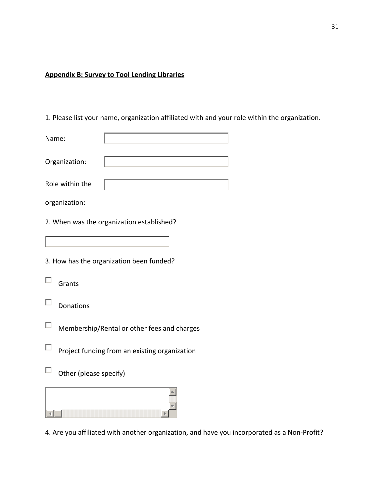## Appendix B: Survey to Tool Lending Libraries

1. Please list your name, organization affiliated with and your role within the organization.

| Name:           |  |
|-----------------|--|
| Organization:   |  |
| Role within the |  |

organization:

2. When was the organization established?

3. How has the organization been funded?

- $\Box$ Grants
- $\Box$ Donations
- $\Box$ Membership/Rental or other fees and charges
- $\Box$ Project funding from an existing organization
- $\Box$ Other (please specify)



4. Are you affiliated with another organization, and have you incorporated as a Non-Profit?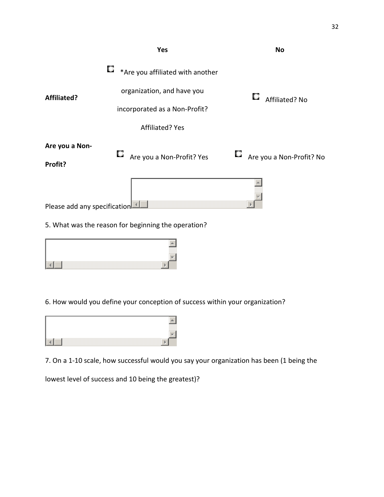

5. What was the reason for beginning the operation?

| and the contract of the contract of the contract of the contract of the contract of the contract of the contract of |  |
|---------------------------------------------------------------------------------------------------------------------|--|

6. How would you define your conception of success within your organization?



7. On a 1-10 scale, how successful would you say your organization has been (1 being the

lowest level of success and 10 being the greatest)?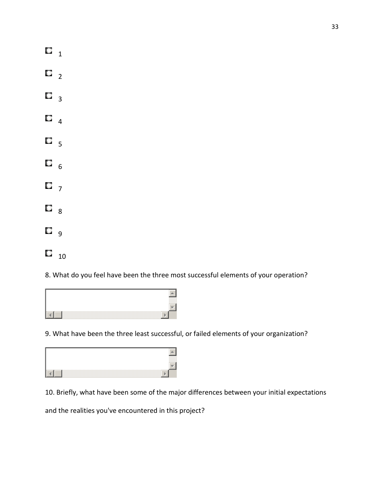| О | 1              |  |
|---|----------------|--|
| O | $\overline{2}$ |  |
| Q | 3              |  |
| О | 4              |  |
| Q | 5              |  |
| Q | 6              |  |
| Q | $\overline{7}$ |  |
| Q | 8              |  |
| С | 9              |  |
| О | 10             |  |

8. What do you feel have been the three most successful elements of your operation?



9. What have been the three least successful, or failed elements of your organization?

10. Briefly, what have been some of the major differences between your initial expectations

and the realities you've encountered in this project?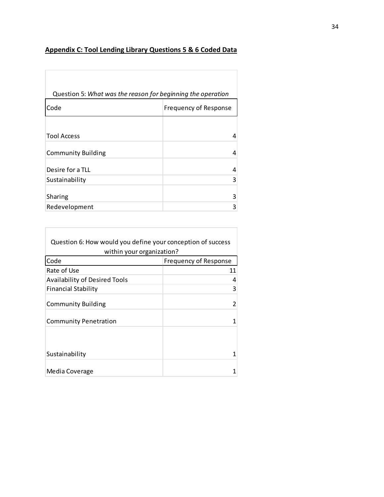# Appendix C: Tool Lending Library Questions 5 & 6 Coded Data

Г

Г

|                           | Question 5: What was the reason for beginning the operation |
|---------------------------|-------------------------------------------------------------|
| Code                      | <b>Frequency of Response</b>                                |
|                           |                                                             |
| <b>Tool Access</b>        | 4                                                           |
| <b>Community Building</b> | 4                                                           |
| Desire for a TLL          | 4                                                           |
| Sustainability            | 3                                                           |
| Sharing                   | 3                                                           |
| Redevelopment             | 3                                                           |

| Question 6: How would you define your conception of success |                              |  |
|-------------------------------------------------------------|------------------------------|--|
| within your organization?                                   |                              |  |
| Code                                                        | <b>Frequency of Response</b> |  |
| Rate of Use                                                 | 11                           |  |
| <b>Availability of Desired Tools</b>                        | 4                            |  |
| <b>Financial Stability</b>                                  | 3                            |  |
| <b>Community Building</b>                                   | 2                            |  |
| <b>Community Penetration</b>                                |                              |  |
| Sustainability                                              |                              |  |
| Media Coverage                                              |                              |  |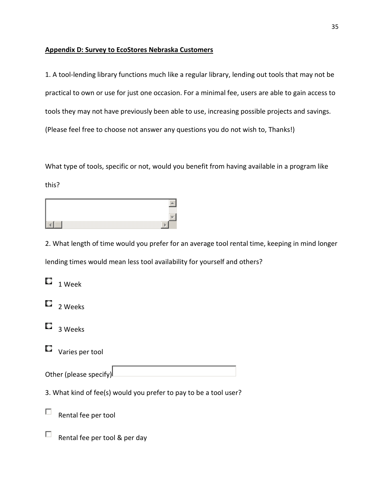## Appendix D: Survey to EcoStores Nebraska Customers

1. A tool-lending library functions much like a regular library, lending out tools that may not be practical to own or use for just one occasion. For a minimal fee, users are able to gain access to tools they may not have previously been able to use, increasing possible projects and savings. (Please feel free to choose not answer any questions you do not wish to, Thanks!)

What type of tools, specific or not, would you benefit from having available in a program like this?

2. What length of time would you prefer for an average tool rental time, keeping in mind longer lending times would mean less tool availability for yourself and others?

| $\Box$                                                            | <b>Week</b>                   |  |  |
|-------------------------------------------------------------------|-------------------------------|--|--|
|                                                                   | $\Box$ 2 Weeks                |  |  |
|                                                                   | $\Box$ 3 Weeks                |  |  |
| $\cup$                                                            | Varies per tool               |  |  |
| Other (please specify)                                            |                               |  |  |
| 3. What kind of fee(s) would you prefer to pay to be a tool user? |                               |  |  |
|                                                                   | Rental fee per tool           |  |  |
|                                                                   | Rental fee per tool & per day |  |  |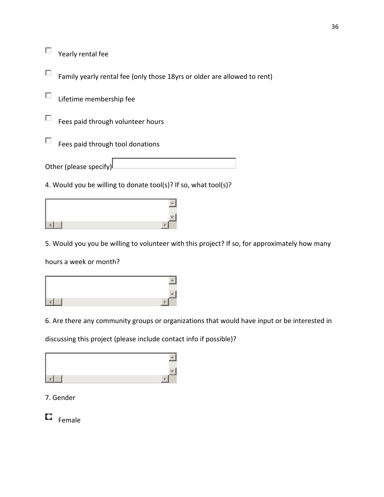$\Box$ Yearly rental fee

П Family yearly rental fee (only those 18yrs or older are allowed to rent)

П Lifetime membership fee

 $\Box$ Fees paid through volunteer hours

П Fees paid through tool donations

Other (please specify)

4. Would you be willing to donate tool(s)? If so, what tool(s)?



5. Would you you be willing to volunteer with this project? If so, for approximately how many

hours a week or month?



6. Are there any community groups or organizations that would have input or be interested in

discussing this project (please include contact info if possible)?

| ▩ |
|---|
|   |

7. Gender

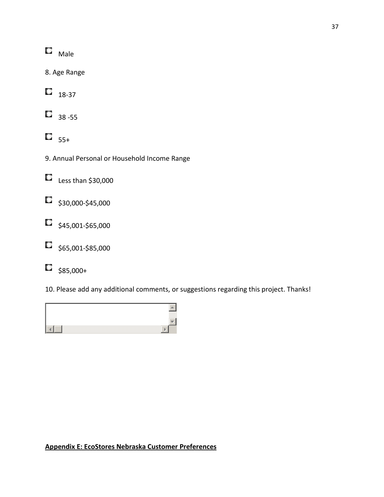$\square$  Male

8. Age Range

 $\Box$ 18-37

 $\Box$  38 -55

 $\overline{5}$ <sub>55+</sub>

- 9. Annual Personal or Household Income Range
- $\Box$ Less than \$30,000
- $\Box$  \$30,000-\$45,000
- $\Box$  \$45,001-\$65,000
- $\Box$ \$65,001-\$85,000
- О \$85,000+

10. Please add any additional comments, or suggestions regarding this project. Thanks!



# Appendix E: EcoStores Nebraska Customer Preferences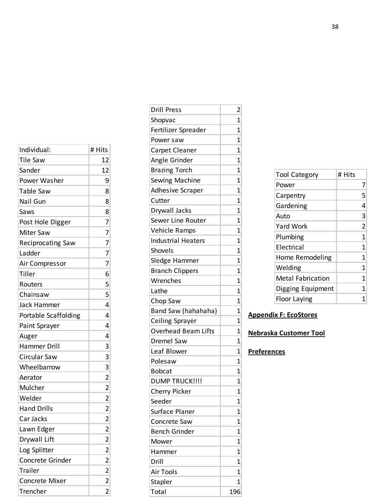| Individual:              | # Hits                                                     |
|--------------------------|------------------------------------------------------------|
| <b>Tile Saw</b>          | 12                                                         |
| Sander                   | 12                                                         |
| Power Washer             | 9                                                          |
| Table Saw                | 8                                                          |
| Nail Gun                 | 8                                                          |
| Saws                     | 8                                                          |
| Post Hole Digger         | $\overline{7}$                                             |
| <b>Miter Saw</b>         |                                                            |
| <b>Reciprocating Saw</b> | $\begin{array}{c}\n7 \\ 7 \\ 7 \\ 7\n\end{array}$          |
| Ladder                   |                                                            |
| Air Compressor           |                                                            |
| Tiller                   | 6                                                          |
| Routers                  | 5                                                          |
| Chainsaw                 | 5                                                          |
| Jack Hammer              | 4                                                          |
| Portable Scaffolding     | 4                                                          |
| Paint Sprayer            | 4                                                          |
| Auger                    | 4                                                          |
| Hammer Drill             | 3                                                          |
| Circular Saw             | 3                                                          |
| Wheelbarrow              |                                                            |
| Aerator                  | $\frac{3}{2}$                                              |
| Mulcher                  |                                                            |
| Welder                   | $\frac{2}{2}$                                              |
| <b>Hand Drills</b>       |                                                            |
| Car Jacks                | $\overline{2}$                                             |
| Lawn Edger               | $\overline{c}$                                             |
| Drywall Lift             |                                                            |
| Log Splitter             |                                                            |
| Concrete Grinder         |                                                            |
| Trailer                  | $\begin{array}{c c} 2 & 2 & 2 \\ 2 & 2 & 2 \\ \end{array}$ |
| <b>Concrete Mixer</b>    |                                                            |
| Trencher                 |                                                            |

| <b>Drill Press</b>         | 2              |
|----------------------------|----------------|
| Shopvac                    | 1              |
| Fertilizer Spreader        | 1              |
| Power saw                  | 1              |
| <b>Carpet Cleaner</b>      | 1              |
| Angle Grinder              | 1              |
| <b>Brazing Torch</b>       | 1              |
| Sewing Machine             | 1              |
| <b>Adhesive Scraper</b>    | 1              |
| Cutter                     | 1              |
| Drywall Jacks              | 1              |
| Sewer Line Router          | 1              |
| <b>Vehicle Ramps</b>       | 1              |
| <b>Industrial Heaters</b>  | 1              |
| Shovels                    | 1              |
| Sledge Hammer              | 1              |
| <b>Branch Clippers</b>     | 1              |
| Wrenches                   | 1              |
| Lathe                      | 1              |
| Chop Saw                   | 1              |
| Band Saw (hahahaha)        | 1              |
| <b>Ceiling Sprayer</b>     | 1              |
| <b>Overhead Beam Lifts</b> | 1              |
| Dremel Saw                 | 1              |
| Leaf Blower                | 1              |
| Polesaw                    | 1              |
| <b>Bobcat</b>              | 1              |
| <b>DUMP TRUCK!!!!</b>      | $\mathbf 1$    |
| Cherry Picker              | $\overline{1}$ |
| Seeder                     | 1              |
| Surface Planer             | 1              |
| Concrete Saw               | 1              |
| <b>Bench Grinder</b>       | 1              |
| Mower                      | 1              |
| Hammer                     | 1              |
| Drill                      | 1              |
| <b>Air Tools</b>           | $\mathbf 1$    |
| Stapler                    | 1              |
| Total                      | 196            |

| <b>Tool Category</b>     | # Hits         |
|--------------------------|----------------|
| Power                    | 7              |
| Carpentry                | 5              |
| Gardening                | 4              |
| Auto                     | 3              |
| Yard Work                | $\overline{2}$ |
| Plumbing                 | 1              |
| Flectrical               | 1              |
| Home Remodeling          | 1              |
| Welding                  | 1              |
| <b>Metal Fabrication</b> | 1              |
| Digging Equipment        | 1              |
| Floor Laying             |                |

## Appendix F: EcoStores

# Nebraska Customer Tool

## **Preferences**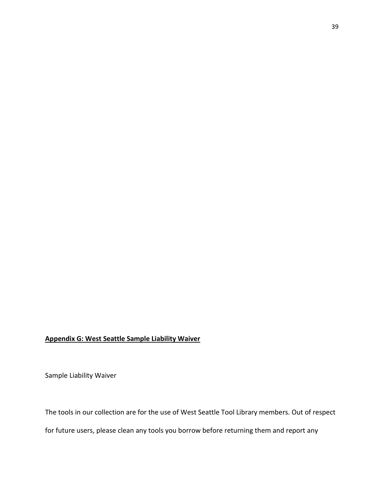## Appendix G: West Seattle Sample Liability Waiver

Sample Liability Waiver

The tools in our collection are for the use of West Seattle Tool Library members. Out of respect for future users, please clean any tools you borrow before returning them and report any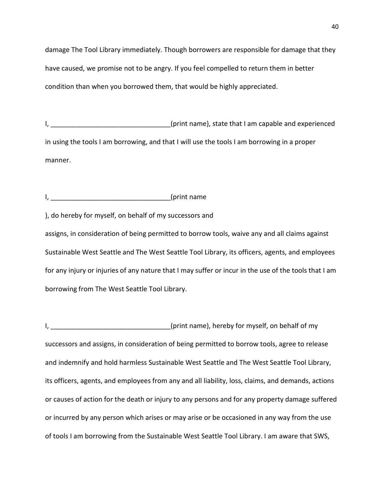damage The Tool Library immediately. Though borrowers are responsible for damage that they have caused, we promise not to be angry. If you feel compelled to return them in better condition than when you borrowed them, that would be highly appreciated.

I, \_\_\_\_\_\_\_\_\_\_\_\_\_\_\_\_\_\_\_\_\_\_\_\_\_\_\_\_\_\_\_\_\_(print name), state that I am capable and experienced in using the tools I am borrowing, and that I will use the tools I am borrowing in a proper manner.

I, \_\_\_\_\_\_\_\_\_\_\_\_\_\_\_\_\_\_\_\_\_\_\_\_\_\_\_\_\_\_\_\_(print name

), do hereby for myself, on behalf of my successors and

assigns, in consideration of being permitted to borrow tools, waive any and all claims against Sustainable West Seattle and The West Seattle Tool Library, its officers, agents, and employees for any injury or injuries of any nature that I may suffer or incur in the use of the tools that I am borrowing from The West Seattle Tool Library.

I, \_\_\_\_\_\_\_\_\_\_\_\_\_\_\_\_\_\_\_\_\_\_\_\_\_\_\_\_\_\_\_(print name), hereby for myself, on behalf of my successors and assigns, in consideration of being permitted to borrow tools, agree to release and indemnify and hold harmless Sustainable West Seattle and The West Seattle Tool Library, its officers, agents, and employees from any and all liability, loss, claims, and demands, actions or causes of action for the death or injury to any persons and for any property damage suffered or incurred by any person which arises or may arise or be occasioned in any way from the use of tools I am borrowing from the Sustainable West Seattle Tool Library. I am aware that SWS,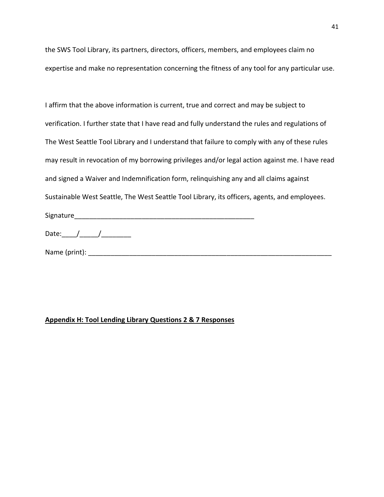the SWS Tool Library, its partners, directors, officers, members, and employees claim no expertise and make no representation concerning the fitness of any tool for any particular use.

## Appendix H: Tool Lending Library Questions 2 & 7 Responses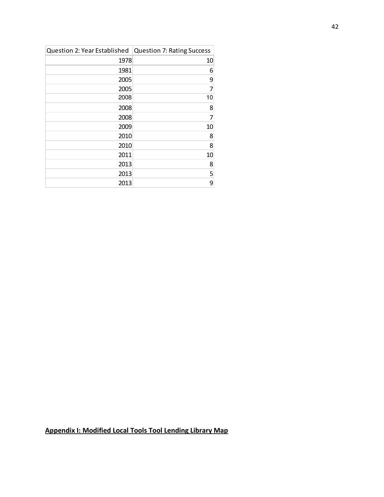| Question 2: Year Established   Question 7: Rating Success |                |
|-----------------------------------------------------------|----------------|
| 1978                                                      | 10             |
| 1981                                                      | 6              |
| 2005                                                      | 9              |
| 2005                                                      | 7              |
| 2008                                                      | 10             |
| 2008                                                      | 8              |
| 2008                                                      | $\overline{7}$ |
| 2009                                                      | 10             |
| 2010                                                      | 8              |
| 2010                                                      | 8              |
| 2011                                                      | 10             |
| 2013                                                      | 8              |
| 2013                                                      | 5              |
| 2013                                                      | 9              |